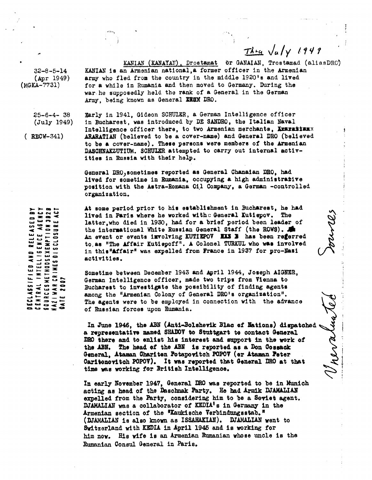32-8-5-14 (Apr 1949) (MGKA-7731)

> 25-6-4- 38 (July 1949)

RECW-341)

 $\frac{7\lambda - 4}{\lambda} \sqrt{a/\gamma}$  *194*<br> *1141* MAIAN, Trostamad (alientis)<br>
1920's and lived<br>
1920's and lived<br>
1930's During the KANIAN (KANATAN), Drostamat Or GANAIAN, Trostamad (aliasDRC) KANIAN is an Armenian national,a former officer in the Armenian army who fled from the country in the middle 1920's and lived for a while in Rumania and then moved to Germany. During the war. he supposedly held the rank of a General in the German Army, being known as General **ZROX** ZRO.

Early in 1941, Gideon SCHU1ER, *a* German Intelligence officer in Bucharest, was introduced by DE SANDRO, the Italian *Naval* Intelligence officer there, to two Armenian merchants, **Examating**x **ARARATIAN (believed** to be *a* cover-name) and General DEC (believed to be a cover-name). These persons were members of the Armenian DASCHNAKZUTIUM. SCHUlER attempted to carry out internal **activities in Russia with their help.**

General DRO) sometimes reported as General Ghanaian DRO, had **lived** for sometime in Rumania, occupying *a* high administrative position with the Astra-Romana 01,1 Company, *a* German -controlled organization.

At some period prior to his establishment **in Bucharest,** he had **lived in** Paris where he worked withc **General Kutiepov. The** latter,who died in 1930, had for *a* brief period been leader of the international White Russian General Staff (the ROWS). An event or events **isvolving KUTIEPOV IRS** 3 **has been referred to,** as "The Affair Kutiepoff". A Colonel TURKUL who **was involved** in this"Affair" was expelled from **France** in 1937 for pro-Nazi **activities.**

Sometime between December 1943 and April 1944, Joseph AIGNER, German Intelligence officer, made two trips from Vienna to Bucharest to **investigate** the possibility of finding agents among the "Armenian Colony of General DEC's organization". The agents were to be employed in connection with the advance of Russian forces upon Rumania.

**In June 1946, the ABN (Anti-Bolshevik Blac of Nations) dispatched a representative named sum to Stuttgart to contact General DEO there and to enlist his interest and support in the work of the** ABN. The **head of** the AM **is reported as** *a* **Don °cossack General, Ataman Chariton Potapovitch POPOV' (or Ataman Peter Oaritenovitch POPOV). It was reported that General DRO at that time was working for British Intelligence.**

**In early November 1947, General DRO was reported** to be **in Munich acting as head of the** Daschnak Party. Be **had Armik WAMLLIAN expelled** from the Party, considering him **to be** *a* **Soviet agent.** DJAMALIAN was a collaborator of KEDIA's in Germany in the Armenian section of the **MaUkische Verbindungsstab." (=MALIAN is also known** *as* **ISSAHAKIAN). =MALIAN went to** Switzerland with KEDIA in April 1946 and **is working** for him **now. His wife is** an Armenian Rumanian whose uncle is the Rumanian Consul General in Paris.

ACT ត្ត **CO** C•4 Co RELEASED **7C LAJ** CENTRAL INTELLIGENCE AGEI<br>SOURCESNETHOOSEXEMPTION 3*1*<br>NAZI WAR CRIMES 81 SCLOSURE<br>BATE 2007  $\mathbf{L}$ AND  $\mathbf{c}$ **DECLASSIFI**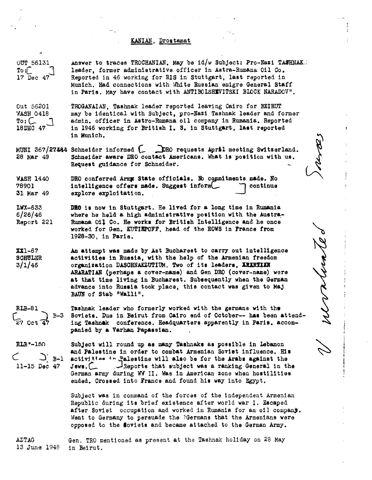## **ICARIAN, Drostamat**

|                                                                     | KANIAN, Drostamat                                                                                                                                                                                                                                                                                                                                                                                                        |      |
|---------------------------------------------------------------------|--------------------------------------------------------------------------------------------------------------------------------------------------------------------------------------------------------------------------------------------------------------------------------------------------------------------------------------------------------------------------------------------------------------------------|------|
| <b>OUT 56131</b><br>$\texttt{T}\circ \texttt{:}$<br>17 Dec 47       | Answer to traces TROCHANIAN, May be id/w Subject: Pro-Nazi TASHNAK.<br>leader, former administrative officer in Astra-Rumana Oil Co.<br>Reported in 46 working for RIS in Stuttgart, last reported in<br>Munich. Had connections with White Russian emigre General Staff<br>in Paris. May have contact with ANTIBOLSHEVITSKI BLOCK NARADOV".                                                                             |      |
| Out 56201<br>WASH 0418<br>$\mathbb{T}$ o: $\mathcal{L}$<br>18DEC 47 | TROGANAIAN, Tashnak leader reported leaving Cairo for BEIRUT<br>may be identical with Subject, pro-Nazi Tashnak leader and former<br>admin, officer in Astro-Rumana oil company in Rumania. Reported<br>in 1946 working for British I. S. in Stuttgart, last reported<br>in Munich.                                                                                                                                      |      |
| 28 Mar 49                                                           | MUNI 367/27444 Schneider informed [ DRO requests April meeting Switzerland.<br>Schneider aware DRO contact Americans. What is position with us.<br>Request guidance for Schneider.                                                                                                                                                                                                                                       | arp. |
| <b>WASH 1440</b><br>78901<br>31 Mar 49                              | DRO conferred Army State officials. No commitments made. No<br>intelligence offers made. Suggest inform<br>continue<br>explore exploitation.                                                                                                                                                                                                                                                                             |      |
| <b>LWX-633</b><br>6/26/46<br>Report 221                             | DR6 is now in Stuttgart. He lived for a long time in Rumania<br>where he held a high administrative position with the Austra-<br>Rumana Oil Co. He works for British Intelligence and he once<br>worked for Gen. KUTIEPOFF, head of the ROWS in France from<br>1928-30, in Paris.                                                                                                                                        |      |
| XX1-67<br><b>SCHULER</b><br>3/1/46                                  | An attempt was made by Ast Bucharest to carry out intelligence<br>activities in Russia, with the help of the Armenian freedom<br>organization DASCHNAKZUTIUM. Two of its leaders, IRIRTIAN<br>ARARATIAN (perhaps a cover-name) and Gen DRO (cover-name) were<br>at that time living in Bucharest. Subsequently when the German<br>advance into Russia took place, this contact was given to Maj<br>BAUN of Stab "Walli". | mer  |
| <b>RLB-81</b><br>$\int_{Z7}$ Oct<br>$B-3$                           | Tashnak leader who formerly worked with the germans with the<br>Soviets. Due in Beirut from Cairo end of October-- has been attend-<br>ing Tashnak conference. Headquarters apparently in Paris. accom-<br>panied by a Varhan Papassian.                                                                                                                                                                                 |      |
| <b>RLB*-150</b><br>$\sum_{i=1}^{n}$<br>$11-15$ Dec $47$             | Subject will round up as many Tashnaks as possible in Lebanon<br>and Palestine in order to combat Armenian Soviet influence. His<br>activities in Palestine will also be for the Arabs against the<br>Jews.<br>Reports that subject was a ranking General in the<br>German army during WW II. Was in American zone when hostilities<br>ended. Crossed into France and found his way into Egypt.                          |      |
|                                                                     | Subject was in command of the forces of the independent Armenian<br>Republic during its brief existence after world war I. Escaped<br>after Soviet occupation and worked in Rumania for an oil company.<br>Went to Germany to persuade the ?Germans that the Armenians were<br>opposed to the Soviets and became attached to the German Army.                                                                            |      |
| <b>AZTAG</b><br>13 June 1948                                        | Gen. TRO mentioned as present at the Tashnak holiday on 28 May<br>in Beirut.                                                                                                                                                                                                                                                                                                                                             |      |
|                                                                     |                                                                                                                                                                                                                                                                                                                                                                                                                          |      |

コ **771**